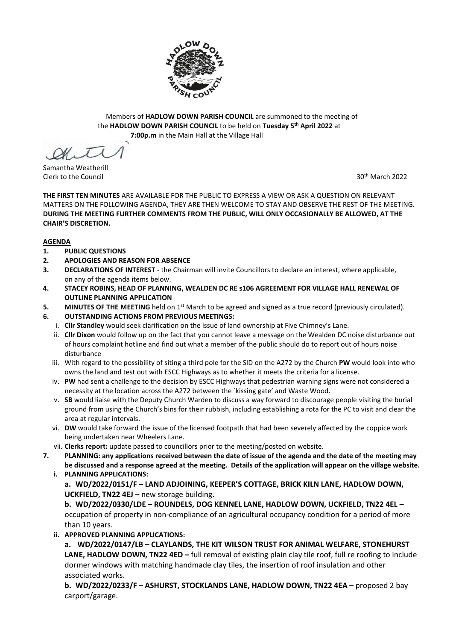

Members of **HADLOW DOWN PARISH COUNCIL** are summoned to the meeting of the **HADLOW DOWN PARISH COUNCIL** to be held on **Tuesday 5 th April 2022** at  **7:00p.m** in the Main Hall at the Village Hall

Samantha Weatherill Clerk to the Council 30th March 2022

**THE FIRST TEN MINUTES** ARE AVAILABLE FOR THE PUBLIC TO EXPRESS A VIEW OR ASK A QUESTION ON RELEVANT MATTERS ON THE FOLLOWING AGENDA, THEY ARE THEN WELCOME TO STAY AND OBSERVE THE REST OF THE MEETING. **DURING THE MEETING FURTHER COMMENTS FROM THE PUBLIC, WILL ONLY OCCASIONALLY BE ALLOWED, AT THE CHAIR'S DISCRETION.**

# **AGENDA**

- **1. PUBLIC QUESTIONS**
- **2. APOLOGIES AND REASON FOR ABSENCE**
- **3. DECLARATIONS OF INTEREST** the Chairman will invite Councillors to declare an interest, where applicable, on any of the agenda items below.
- **4. STACEY ROBINS, HEAD OF PLANNING, WEALDEN DC RE s106 AGREEMENT FOR VILLAGE HALL RENEWAL OF OUTLINE PLANNING APPLICATION**
- 5. MINUTES OF THE MEETING held on 1<sup>st</sup> March to be agreed and signed as a true record (previously circulated).
- **6. OUTSTANDING ACTIONS FROM PREVIOUS MEETINGS:**
	- i. **Cllr Standley** would seek clarification on the issue of land ownership at Five Chimney's Lane.
	- ii. **Cllr Dixon** would follow up on the fact that you cannot leave a message on the Wealden DC noise disturbance out of hours complaint hotline and find out what a member of the public should do to report out of hours noise disturbance
	- iii. With regard to the possibility of siting a third pole for the SID on the A272 by the Church **PW** would look into who owns the land and test out with ESCC Highways as to whether it meets the criteria for a license.
	- iv. **PW** had sent a challenge to the decision by ESCC Highways that pedestrian warning signs were not considered a necessity at the location across the A272 between the `kissing gate' and Waste Wood.
	- v. **SB** would liaise with the Deputy Church Warden to discuss a way forward to discourage people visiting the burial ground from using the Church's bins for their rubbish, including establishing a rota for the PC to visit and clear the area at regular intervals.
	- vi. **DW** would take forward the issue of the licensed footpath that had been severely affected by the coppice work being undertaken near Wheelers Lane.
	- vii. **Clerks report:** update passed to councillors prior to the meeting/posted on website.
- **7. PLANNING: any applications received between the date of issue of the agenda and the date of the meeting may be discussed and a response agreed at the meeting. Details of the application will appear on the village website.** 
	- **i. PLANNING APPLICATIONS: a. WD/2022/0151/F – LAND ADJOINING, KEEPER'S COTTAGE, BRICK KILN LANE, HADLOW DOWN, UCKFIELD, TN22 4EJ** – new storage building.

**b. WD/2022/0330/LDE – ROUNDELS, DOG KENNEL LANE, HADLOW DOWN, UCKFIELD, TN22 4EL** – occupation of property in non-compliance of an agricultural occupancy condition for a period of more than 10 years.

**ii. APPROVED PLANNING APPLICATIONS:**

**a. WD/2022/0147/LB – CLAYLANDS, THE KIT WILSON TRUST FOR ANIMAL WELFARE, STONEHURST LANE, HADLOW DOWN, TN22 4ED –** full removal of existing plain clay tile roof, full re roofing to include dormer windows with matching handmade clay tiles, the insertion of roof insulation and other associated works.

**b. WD/2022/0233/F – ASHURST, STOCKLANDS LANE, HADLOW DOWN, TN22 4EA –** proposed 2 bay carport/garage.